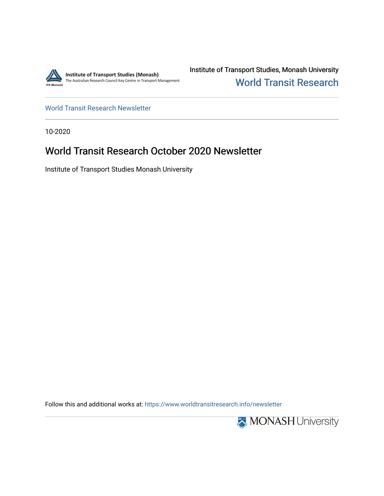

Institute of Transport Studies, Monash University [World Transit Research](https://www.worldtransitresearch.info/) 

[World Transit Research Newsletter](https://www.worldtransitresearch.info/newsletter) 

10-2020

# World Transit Research October 2020 Newsletter

Institute of Transport Studies Monash University

Follow this and additional works at: [https://www.worldtransitresearch.info/newsletter](https://www.worldtransitresearch.info/newsletter?utm_source=www.worldtransitresearch.info%2Fnewsletter%2F62&utm_medium=PDF&utm_campaign=PDFCoverPages) 

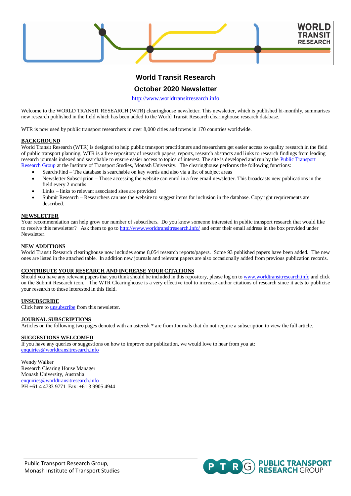

# **World Transit Research**

### **October 2020 Newsletter**

[http://www.worldtransitresearch.info](http://www.worldtransitresearch.info/)

Welcome to the WORLD TRANSIT RESEARCH (WTR) clearinghouse newsletter. This newsletter, which is published bi-monthly, summarises new research published in the field which has been added to the World Transit Research clearinghouse research database.

WTR is now used by public transport researchers in over 8,000 cities and towns in 170 countries worldwide.

#### **BACKGROUND**

World Transit Research (WTR) is designed to help public transport practitioners and researchers get easier access to quality research in the field of public transport planning. WTR is a free repository of research papers, reports, research abstracts and links to research findings from leading research journals indexed and searchable to ensure easier access to topics of interest. The site is developed and run by the Public Transport [Research Group](http://publictransportresearchgroup.info/) at the Institute of Transport Studies, Monash University. The clearinghouse performs the following functions:

- Search/Find The database is searchable on key words and also via a list of subject areas
- Newsletter Subscription Those accessing the website can enrol in a free email newsletter. This broadcasts new publications in the field every 2 months
- Links links to relevant associated sites are provided
- Submit Research Researchers can use the website to suggest items for inclusion in the database. Copyright requirements are described.

#### **NEWSLETTER**

Your recommendation can help grow our number of subscribers. Do you know someone interested in public transport research that would like to receive this newsletter? Ask them to go t[o http://www.worldtransitresearch.info/](http://www.worldtransitresearch.info/) and enter their email address in the box provided under Newsletter.

#### **NEW ADDITIONS**

World Transit Research clearinghouse now includes some 8,054 research reports/papers. Some 93 published papers have been added. The new ones are listed in the attached table. In addition new journals and relevant papers are also occasionally added from previous publication records.

#### **CONTRIBUTE YOUR RESEARCH AND INCREASE YOUR CITATIONS**

Should you have any relevant papers that you think should be included in this repository, please log on t[o www.worldtransitresearch.info](http://www.worldtransitresearch.info/) and click on the Submit Research icon. The WTR Clearinghouse is a very effective tool to increase author citations of research since it acts to publicise your research to those interested in this field.

#### **UNSUBSCRIBE**

Click here t[o unsubscribe](http://www.worldtransitresearch.info/) from this newsletter.

#### **JOURNAL SUBSCRIPTIONS**

Articles on the following two pages denoted with an asterisk \* are from Journals that do not require a subscription to view the full article.

#### **SUGGESTIONS WELCOMED**

If you have any queries or suggestions on how to improve our publication, we would love to hear from you at: [enquiries@worldtransitresearch.info](mailto:enquiries@worldtransitresearch.info)

Wendy Walker Research Clearing House Manager Monash University, Australia [enquiries@worldtransitresearch.info](mailto:enquiries@worldtransitresearch.info) PH +61 4 4733 9771 Fax: +61 3 9905 4944

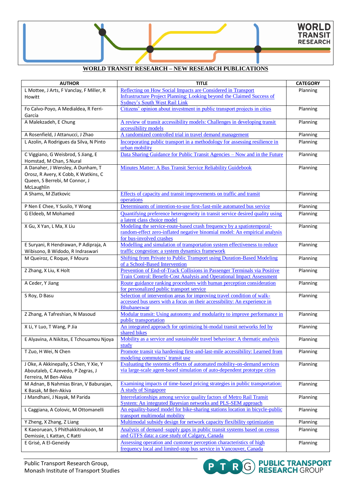## **WORLD TRANSIT RESEARCH – NEW RESEARCH PUBLICATIONS**

| <b>AUTHOR</b>                                                  | <b>TITLE</b>                                                                                                                                        | <b>CATEGORY</b> |
|----------------------------------------------------------------|-----------------------------------------------------------------------------------------------------------------------------------------------------|-----------------|
| L Mottee, J Arts, F Vanclay, F Miller, R                       | Reflecting on How Social Impacts are Considered in Transport                                                                                        | Planning        |
| Howitt                                                         | Infrastructure Project Planning: Looking beyond the Claimed Success of                                                                              |                 |
|                                                                | <b>Sydney's South West Rail Link</b>                                                                                                                |                 |
| Fo Calvo-Poyo, A Medialdea, R Ferri-                           | Citizens' opinion about investment in public transport projects in cities                                                                           | Planning        |
| García                                                         |                                                                                                                                                     |                 |
| A Malekzadeh, E Chung                                          | A review of transit accessibility models: Challenges in developing transit                                                                          | Planning        |
|                                                                | accessibility models                                                                                                                                |                 |
| A Rosenfield, J Attanucci, J Zhao                              | A randomized controlled trial in travel demand management                                                                                           | Planning        |
| L Azolin, A Rodrigues da Silva, N Pinto                        | Incorporating public transport in a methodology for assessing resilience in<br>urban mobility                                                       | Planning        |
| C Viggiano, G Weisbrod, S Jiang, E<br>Homstad, M Chan, S Nural | Data Sharing Guidance for Public Transit Agencies - Now and in the Future                                                                           | Planning        |
| A Danaher, J Wensley, A Dunham, T                              | Minutes Matter: A Bus Transit Service Reliability Guidebook                                                                                         | Planning        |
| Orosz, R Avery, K Cobb, K Watkins, C                           |                                                                                                                                                     |                 |
| Queen, S Berrebi, M Connor, J                                  |                                                                                                                                                     |                 |
| McLaughlin                                                     |                                                                                                                                                     |                 |
| A Shams, M Zlatkovic                                           | Effects of capacity and transit improvements on traffic and transit                                                                                 | Planning        |
|                                                                | operations                                                                                                                                          |                 |
| P Nen E Chee, Y Susilo, Y Wong                                 | Determinants of intention-to-use first-/last-mile automated bus service                                                                             | Planning        |
| G Eldeeb, M Mohamed                                            | Quantifying preference heterogeneity in transit service desired quality using                                                                       | Planning        |
|                                                                | a latent class choice model                                                                                                                         |                 |
| X Gu, X Yan, L Ma, X Liu                                       | Modeling the service-route-based crash frequency by a spatiotemporal-                                                                               | Planning        |
|                                                                | random-effect zero-inflated negative binomial model: An empirical analysis                                                                          |                 |
|                                                                | for bus-involved crashes                                                                                                                            |                 |
| E Suryani, R Hendrawan, P Adipraja, A                          | Modelling and simulation of transportation system effectiveness to reduce                                                                           | Planning        |
| Wibisono, B Widodo, R Indraswari                               | traffic congestion: a system dynamics framework                                                                                                     |                 |
| M Queiroz, C Roque, F Moura                                    | Shifting from Private to Public Transport using Duration-Based Modeling                                                                             | Planning        |
|                                                                | of a School-Based Intervention                                                                                                                      |                 |
| Z Zhang, X Liu, K Holt                                         | Prevention of End-of-Track Collisions in Passenger Terminals via Positive<br>Train Control: Benefit-Cost Analysis and Operational Impact Assessment | Planning        |
| A Ceder, Y Jiang                                               | Route guidance ranking procedures with human perception consideration                                                                               | Planning        |
|                                                                | for personalized public transport service                                                                                                           |                 |
| S Roy, D Basu                                                  | Selection of intervention areas for improving travel condition of walk-                                                                             | Planning        |
|                                                                | accessed bus users with a focus on their accessibility: An experience in                                                                            |                 |
|                                                                | <b>Bhubaneswar</b>                                                                                                                                  |                 |
| Z Zhang, A Tafreshian, N Masoud                                | Modular transit: Using autonomy and modularity to improve performance in                                                                            | Planning        |
|                                                                | public transportation                                                                                                                               |                 |
| X Li, Y Luo, T Wang, P Jia                                     | An integrated approach for optimizing bi-modal transit networks fed by                                                                              | Planning        |
|                                                                | shared bikes                                                                                                                                        |                 |
| E Alyavina, A Nikitas, E Tchouamou Njoya                       | Mobility as a service and sustainable travel behaviour: A thematic analysis                                                                         | Planning        |
|                                                                | study<br>Promote transit via hardening first-and-last-mile accessibility: Learned from                                                              |                 |
| T Zuo, H Wei, N Chen                                           | modeling commuters' transit use                                                                                                                     | Planning        |
| J Oke, A Akkinepally, S Chen, Y Xie, Y                         | Evaluating the systemic effects of automated mobility-on-demand services                                                                            | Planning        |
| Aboutaleb, C Azevedo, P Zegras, J                              | via large-scale agent-based simulation of auto-dependent prototype cities                                                                           |                 |
| Ferreira, M Ben-Akiva                                          |                                                                                                                                                     |                 |
| M Adnan, B Nahmias Biran, V Baburajan,                         | Examining impacts of time-based pricing strategies in public transportation:                                                                        | Planning        |
| K Basak, M Ben-Akiva                                           | A study of Singapore                                                                                                                                |                 |
| J Mandhani, J Nayak, M Parida                                  | Interrelationships among service quality factors of Metro Rail Transit                                                                              | Planning        |
|                                                                | System: An integrated Bayesian networks and PLS-SEM approach                                                                                        |                 |
| L Caggiana, A Colovic, M Ottomanelli                           | An equality-based model for bike-sharing stations location in bicycle-public                                                                        | Planning        |
|                                                                | transport multimodal mobility                                                                                                                       |                 |
| Y Zheng, X Zhang, Z Liang                                      | Multimodal subsidy design for network capacity flexibility optimization                                                                             | Planning        |
| K Kaeoruean, S Phithakkitnukoon, M                             | Analysis of demand-supply gaps in public transit systems based on census                                                                            | Planning        |
| Demissie, L Kattan, C Ratti                                    | and GTFS data: a case study of Calgary, Canada                                                                                                      |                 |
| E Grisé, A El-Geneidy                                          | Assessing operation and customer perception characteristics of high                                                                                 | Planning        |
|                                                                | frequency local and limited-stop bus service in Vancouver, Canada                                                                                   |                 |

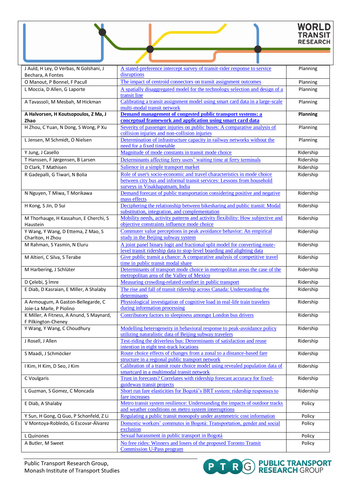# WORLD<br>TRANSIT<br>RESEARCH

| J Auld, H Ley, O Verbas, N Golshani, J<br>Bechara, A Fontes     | A stated-preference intercept survey of transit-rider response to service<br>disruptions                                                                                             | Planning  |
|-----------------------------------------------------------------|--------------------------------------------------------------------------------------------------------------------------------------------------------------------------------------|-----------|
| O Manout, P Bonnel, F Pacull                                    | The impact of centroid connectors on transit assignment outcomes                                                                                                                     | Planning  |
| L Moccia, D Allen, G Laporte                                    | A spatially disaggregated model for the technology selection and design of a<br>transit line                                                                                         | Planning  |
| A Tavassoli, M Mesbah, M Hickman                                | Calibrating a transit assignment model using smart card data in a large-scale<br>multi-modal transit network                                                                         | Planning  |
| A Halvorsen, H Koutsopoulos, Z Ma, J<br>Zhao                    | Demand management of congested public transport systems: a<br>conceptual framework and application using smart card data                                                             | Planning  |
| H Zhou, C Yuan, N Dong, S Wong, P Xu                            | Severity of passenger injuries on public buses: A comparative analysis of<br>collision injuries and non-collision injuries                                                           | Planning  |
| L Jensen, M Schmidt, O Nielsen                                  | Determination of infrastructure capacity in railway networks without the<br>need for a fixed timetable                                                                               | Planning  |
| Y Jung, J Casello                                               | Magnitude of mode constants in transit mode choice                                                                                                                                   | Ridership |
| T Hanssen, F Jørgensen, B Larsen                                | Determinants affecting ferry users' waiting time at ferry terminals                                                                                                                  | Ridership |
| D Clark, T Mathisen                                             | Salience in a simple transport market                                                                                                                                                | Ridership |
| R Gadepalli, G Tiwari, N Bolia                                  | Role of user's socio-economic and travel characteristics in mode choice<br>between city bus and informal transit services: Lessons from household<br>surveys in Visakhapatnam, India | Ridership |
| N Nguyen, T Miwa, T Morikawa                                    | Demand forecast of public transportation considering positive and negative<br>mass effects                                                                                           | Ridership |
| H Kong, S Jin, D Sui                                            | Deciphering the relationship between bikesharing and public transit: Modal<br>substitution, integration, and complementation                                                         | Ridership |
| M Thorhauge, H Kassahun, E Cherchi, S<br>Haustein               | Mobility needs, activity patterns and activity flexibility: How subjective and<br>objective constraints influence mode choice                                                        | Ridership |
| Y Wang, Y Wang, D Ettema, Z Mao, S<br>Charlton, H Zhou          | Commuter value perceptions in peak avoidance behavior: An empirical<br>study in the Beijing subway system                                                                            | Ridership |
| M Rahman, S Yasmin, N Eluru                                     | A joint panel binary logit and fractional split model for converting route-<br>level transit ridership data to stop-level boarding and alighting data                                | Ridership |
| M Altieri, C Silva, S Terabe                                    | Give public transit a chance: A comparative analysis of competitive travel<br>time in public transit modal share                                                                     | Ridership |
| M Harbering, J Schlüter                                         | Determinants of transport mode choice in metropolitan areas the case of the<br>metropolitan area of the Valley of Mexico                                                             | Ridership |
| D Çelebi, Ş İmre                                                | Measuring crowding-related comfort in public transport                                                                                                                               | Ridership |
| E Diab, D Kasraian, E Miller, A Shalaby                         | The rise and fall of transit ridership across Canada: Understanding the<br>determinants                                                                                              | Ridership |
| A Armougum, A Gaston-Bellegarde, C<br>Joie-La Marle, P Piolino  | Physiological investigation of cognitive load in real-life train travelers<br>during information processing                                                                          | Ridership |
| K Miller, A Fitness, A Anund, S Maynard,<br>F Pilkington-Cheney | Contributory factors to sleepiness amongst London bus drivers                                                                                                                        | Ridership |
| Y Wang, Y Wang, C Choudhury                                     | Modelling heterogeneity in behavioral response to peak-avoidance policy<br>utilizing naturalistic data of Beijing subway travelers                                                   | Ridership |
| J Rosell, J Allen                                               | Test-riding the driverless bus: Determinants of satisfaction and reuse<br>intention in eight test-track locations                                                                    | Ridership |
| S Maadi, J Schmöcker                                            | Route choice effects of changes from a zonal to a distance-based fare<br>structure in a regional public transport network                                                            | Ridership |
| I Kim, H Kim, D Seo, J Kim                                      | Calibration of a transit route choice model using revealed population data of<br>smartcard in a multimodal transit network                                                           | Ridership |
| C Voulgaris                                                     | Trust in forecasts? Correlates with ridership forecast accuracy for fixed-<br>guideway transit projects                                                                              | Ridership |
| L Guzman, S Gomez, C Moncada                                    | Short run fare elasticities for Bogotá's BRT system: ridership responses to<br>fare increases                                                                                        | Ridership |
| E Diab, A Shalaby                                               | Metro transit system resilience: Understanding the impacts of outdoor tracks<br>and weather conditions on metro system interruptions                                                 | Policy    |
| Y Sun, H Gong, Q Guo, P Schonfeld, Z Li                         | Regulating a public transit monopoly under asymmetric cost information                                                                                                               | Policy    |
| V Montoya-Robledo, G Escovar-Álvarez                            | Domestic workers' commutes in Bogotá: Transportation, gender and social<br>exclusion                                                                                                 | Policy    |
| L Quinones                                                      | Sexual harassment in public transport in Bogotá                                                                                                                                      | Policy    |
| A Butler, M Sweet                                               | No free rides: Winners and losers of the proposed Toronto Transit<br><b>Commission U-Pass program</b>                                                                                | Policy    |